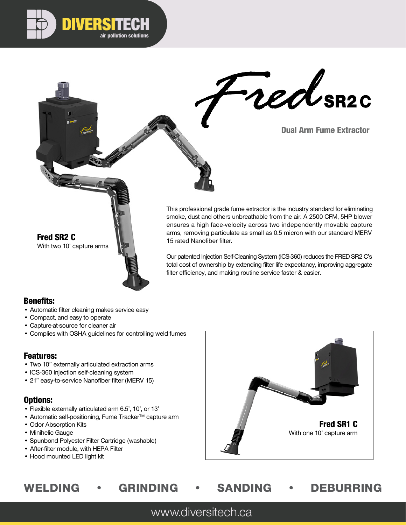

Tred SR2C



This professional grade fume extractor is the industry standard for eliminating smoke, dust and others unbreathable from the air. A 2500 CFM, 5HP blower ensures a high face-velocity across two independently movable capture arms, removing particulate as small as 0.5 micron with our standard MERV 15 rated Nanofiber filter.

Our patented Injection Self-Cleaning System (ICS-360) reduces the FRED SR2 C's total cost of ownership by extending filter life expectancy, improving aggregate filter efficiency, and making routine service faster & easier.

#### Benefits:

- Automatic filter cleaning makes service easy
- Compact, and easy to operate

Fred SR2 C

With two 10' capture arms

- Capture-at-source for cleaner air
- Complies with OSHA guidelines for controlling weld fumes

### Features:

- Two 10" externally articulated extraction arms
- ICS-360 injection self-cleaning system
- 21" easy-to-service Nanofiber filter (MERV 15)

### Options:

- Flexible externally articulated arm 6.5', 10', or 13'
- Automatic self-positioning, Fume Tracker™ capture arm
- Odor Absorption Kits
- Minihelic Gauge
- Spunbond Polyester Filter Cartridge (washable)
- After-filter module, with HEPA Filter
- Hood mounted LED light kit



# WELDING • GRINDING • SANDING • DEBURRING

www.diversitech.ca